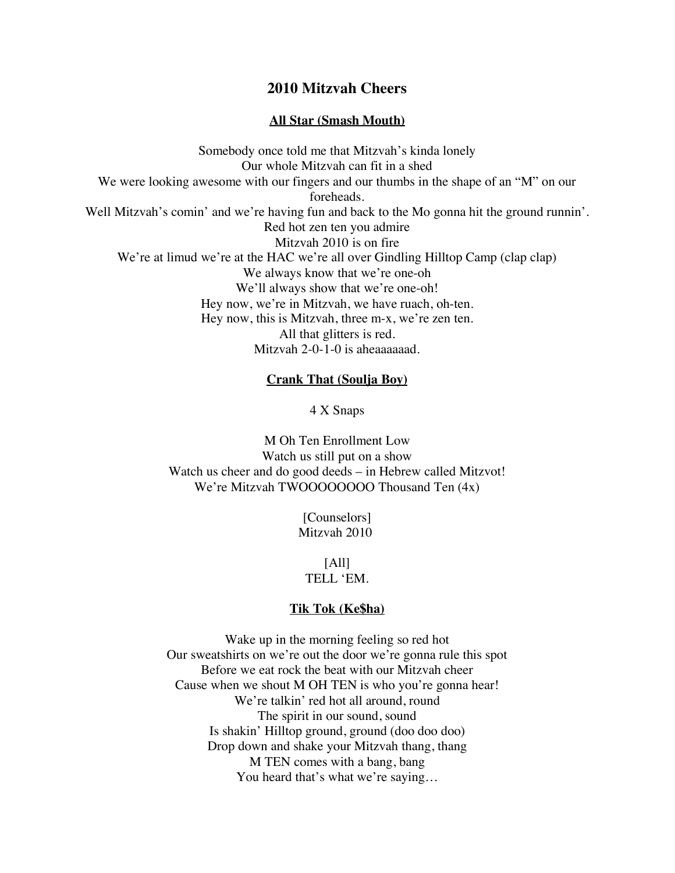# **2010 Mitzvah Cheers**

### **All Star (Smash Mouth)**

Somebody once told me that Mitzvah's kinda lonely Our whole Mitzvah can fit in a shed We were looking awesome with our fingers and our thumbs in the shape of an "M" on our foreheads. Well Mitzvah's comin' and we're having fun and back to the Mo gonna hit the ground runnin'. Red hot zen ten you admire Mitzvah 2010 is on fire We're at limud we're at the HAC we're all over Gindling Hilltop Camp (clap clap) We always know that we're one-oh We'll always show that we're one-oh! Hey now, we're in Mitzvah, we have ruach, oh-ten. Hey now, this is Mitzvah, three m-x, we're zen ten. All that glitters is red. Mitzvah 2-0-1-0 is aheaaaaaad.

#### **Crank That (Soulja Boy)**

4 X Snaps

M Oh Ten Enrollment Low Watch us still put on a show Watch us cheer and do good deeds – in Hebrew called Mitzvot! We're Mitzvah TWOOOOOOOO Thousand Ten  $(4x)$ 

> [Counselors] Mitzvah 2010

### $[All]$ TELL 'EM.

### **Tik Tok (Ke\$ha)**

Wake up in the morning feeling so red hot Our sweatshirts on we're out the door we're gonna rule this spot Before we eat rock the beat with our Mitzvah cheer Cause when we shout M OH TEN is who you're gonna hear! We're talkin' red hot all around, round The spirit in our sound, sound Is shakin' Hilltop ground, ground (doo doo doo) Drop down and shake your Mitzvah thang, thang M TEN comes with a bang, bang You heard that's what we're saying...